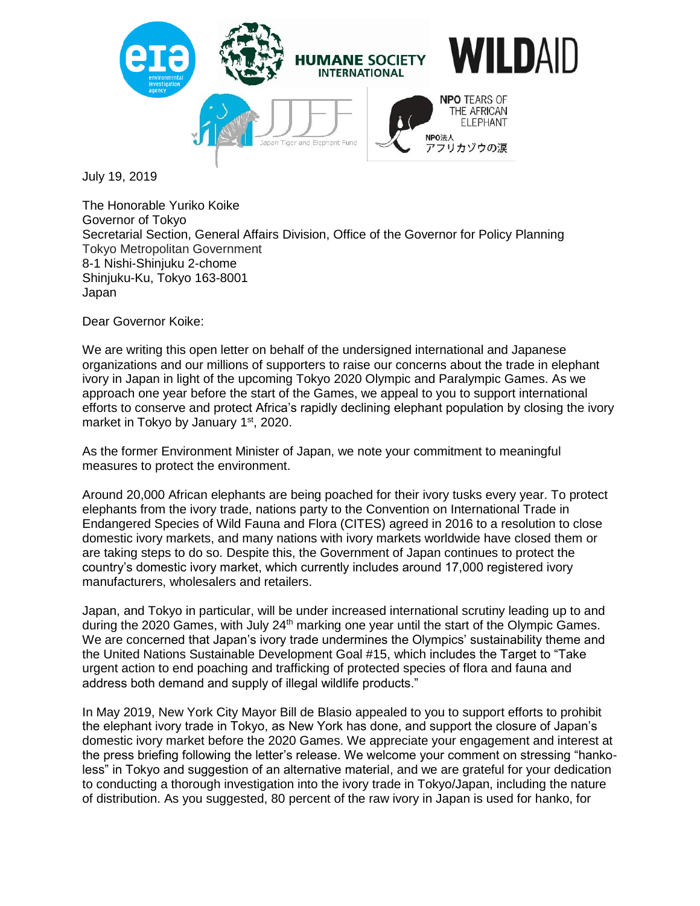

July 19, 2019

The Honorable Yuriko Koike Governor of Tokyo Secretarial Section, General Affairs Division, Office of the Governor for Policy Planning Tokyo Metropolitan Government 8-1 Nishi-Shinjuku 2-chome Shinjuku-Ku, Tokyo 163-8001 Japan

Dear Governor Koike:

We are writing this open letter on behalf of the undersigned international and Japanese organizations and our millions of supporters to raise our concerns about the trade in elephant ivory in Japan in light of the upcoming Tokyo 2020 Olympic and Paralympic Games. As we approach one year before the start of the Games, we appeal to you to support international efforts to conserve and protect Africa's rapidly declining elephant population by closing the ivory market in Tokyo by January 1<sup>st</sup>, 2020.

As the former Environment Minister of Japan, we note your commitment to meaningful measures to protect the environment.

Around 20,000 African elephants are being poached for their ivory tusks every year. To protect elephants from the ivory trade, nations party to the Convention on International Trade in Endangered Species of Wild Fauna and Flora (CITES) agreed in 2016 to a resolution to close domestic ivory markets, and many nations with ivory markets worldwide have closed them or are taking steps to do so. Despite this, the Government of Japan continues to protect the country's domestic ivory market, which currently includes around 17,000 registered ivory manufacturers, wholesalers and retailers.

Japan, and Tokyo in particular, will be under increased international scrutiny leading up to and during the 2020 Games, with July 24<sup>th</sup> marking one year until the start of the Olympic Games. We are concerned that Japan's ivory trade undermines the Olympics' sustainability theme and the United Nations Sustainable Development Goal #15, which includes the Target to "Take urgent action to end poaching and trafficking of protected species of flora and fauna and address both demand and supply of illegal wildlife products."

In May 2019, New York City Mayor Bill de Blasio appealed to you to support efforts to prohibit the elephant ivory trade in Tokyo, as New York has done, and support the closure of Japan's domestic ivory market before the 2020 Games. We appreciate your engagement and interest at the press briefing following the letter's release. We welcome your comment on stressing "hankoless" in Tokyo and suggestion of an alternative material, and we are grateful for your dedication to conducting a thorough investigation into the ivory trade in Tokyo/Japan, including the nature of distribution. As you suggested, 80 percent of the raw ivory in Japan is used for hanko, for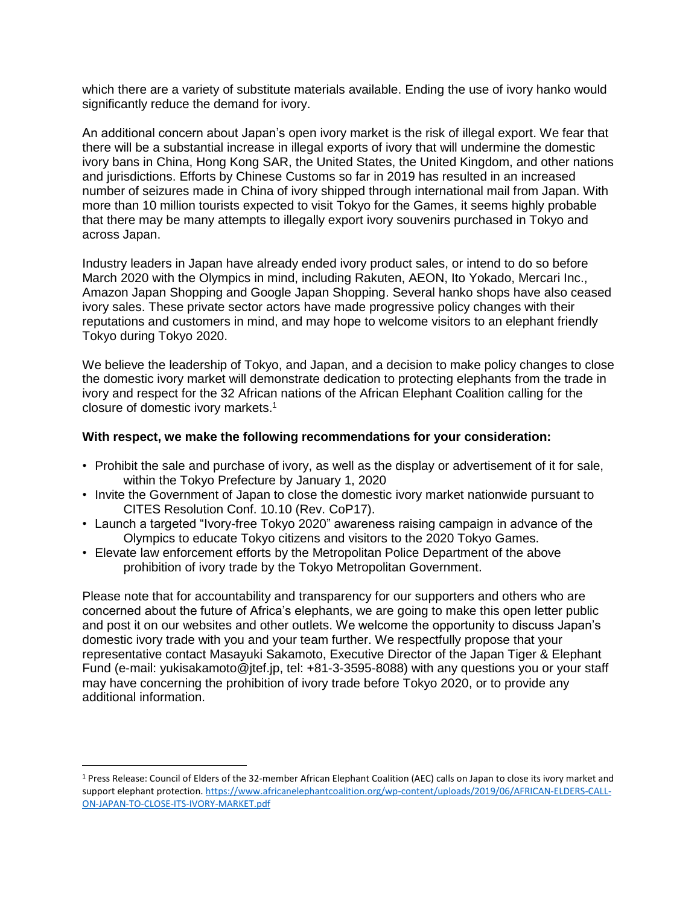which there are a variety of substitute materials available. Ending the use of ivory hanko would significantly reduce the demand for ivory.

An additional concern about Japan's open ivory market is the risk of illegal export. We fear that there will be a substantial increase in illegal exports of ivory that will undermine the domestic ivory bans in China, Hong Kong SAR, the United States, the United Kingdom, and other nations and jurisdictions. Efforts by Chinese Customs so far in 2019 has resulted in an increased number of seizures made in China of ivory shipped through international mail from Japan. With more than 10 million tourists expected to visit Tokyo for the Games, it seems highly probable that there may be many attempts to illegally export ivory souvenirs purchased in Tokyo and across Japan.

Industry leaders in Japan have already ended ivory product sales, or intend to do so before March 2020 with the Olympics in mind, including Rakuten, AEON, Ito Yokado, Mercari Inc., Amazon Japan Shopping and Google Japan Shopping. Several hanko shops have also ceased ivory sales. These private sector actors have made progressive policy changes with their reputations and customers in mind, and may hope to welcome visitors to an elephant friendly Tokyo during Tokyo 2020.

We believe the leadership of Tokyo, and Japan, and a decision to make policy changes to close the domestic ivory market will demonstrate dedication to protecting elephants from the trade in ivory and respect for the 32 African nations of the African Elephant Coalition calling for the closure of domestic ivory markets.<sup>1</sup>

## **With respect, we make the following recommendations for your consideration:**

- Prohibit the sale and purchase of ivory, as well as the display or advertisement of it for sale, within the Tokyo Prefecture by January 1, 2020
- Invite the Government of Japan to close the domestic ivory market nationwide pursuant to CITES Resolution Conf. 10.10 (Rev. CoP17).
- Launch a targeted "Ivory-free Tokyo 2020" awareness raising campaign in advance of the Olympics to educate Tokyo citizens and visitors to the 2020 Tokyo Games.
- Elevate law enforcement efforts by the Metropolitan Police Department of the above prohibition of ivory trade by the Tokyo Metropolitan Government.

Please note that for accountability and transparency for our supporters and others who are concerned about the future of Africa's elephants, we are going to make this open letter public and post it on our websites and other outlets. We welcome the opportunity to discuss Japan's domestic ivory trade with you and your team further. We respectfully propose that your representative contact Masayuki Sakamoto, Executive Director of the Japan Tiger & Elephant Fund (e-mail: yukisakamoto@jtef.jp, tel: +81-3-3595-8088) with any questions you or your staff may have concerning the prohibition of ivory trade before Tokyo 2020, or to provide any additional information.

 $\overline{a}$ 

<sup>1</sup> Press Release: Council of Elders of the 32-member African Elephant Coalition (AEC) calls on Japan to close its ivory market and support elephant protection. [https://www.africanelephantcoalition.org/wp-content/uploads/2019/06/AFRICAN-ELDERS-CALL-](https://www.africanelephantcoalition.org/wp-content/uploads/2019/06/AFRICAN-ELDERS-CALL-ON-JAPAN-TO-CLOSE-ITS-IVORY-MARKET.pdf)[ON-JAPAN-TO-CLOSE-ITS-IVORY-MARKET.pdf](https://www.africanelephantcoalition.org/wp-content/uploads/2019/06/AFRICAN-ELDERS-CALL-ON-JAPAN-TO-CLOSE-ITS-IVORY-MARKET.pdf)